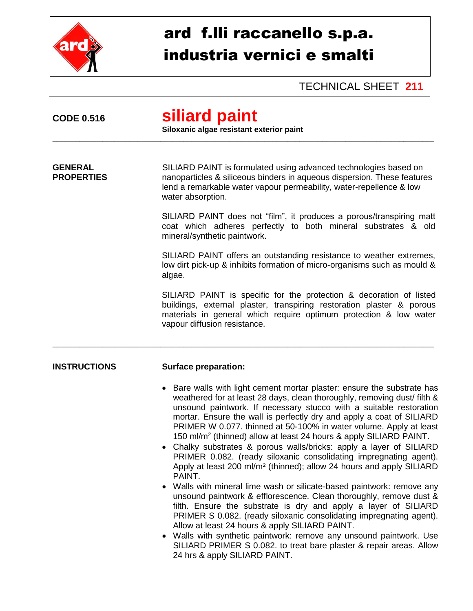

## ard f.lli raccanello s.p.a. industria vernici e smalti

TECHNICAL SHEET **211**

| <b>CODE 0.516</b>                   | siliard paint<br>Siloxanic algae resistant exterior paint                                                                                                                                                                                                                                                                                                                                                                                                                                                                                                                                                                                                                                                                                                                                                                                                                                                                                                                                                                                                                                                                                                                                                                  |  |  |
|-------------------------------------|----------------------------------------------------------------------------------------------------------------------------------------------------------------------------------------------------------------------------------------------------------------------------------------------------------------------------------------------------------------------------------------------------------------------------------------------------------------------------------------------------------------------------------------------------------------------------------------------------------------------------------------------------------------------------------------------------------------------------------------------------------------------------------------------------------------------------------------------------------------------------------------------------------------------------------------------------------------------------------------------------------------------------------------------------------------------------------------------------------------------------------------------------------------------------------------------------------------------------|--|--|
| <b>GENERAL</b><br><b>PROPERTIES</b> | SILIARD PAINT is formulated using advanced technologies based on<br>nanoparticles & siliceous binders in aqueous dispersion. These features<br>lend a remarkable water vapour permeability, water-repellence & low<br>water absorption.                                                                                                                                                                                                                                                                                                                                                                                                                                                                                                                                                                                                                                                                                                                                                                                                                                                                                                                                                                                    |  |  |
|                                     | SILIARD PAINT does not "film", it produces a porous/transpiring matt<br>coat which adheres perfectly to both mineral substrates & old<br>mineral/synthetic paintwork.                                                                                                                                                                                                                                                                                                                                                                                                                                                                                                                                                                                                                                                                                                                                                                                                                                                                                                                                                                                                                                                      |  |  |
|                                     | SILIARD PAINT offers an outstanding resistance to weather extremes,<br>low dirt pick-up & inhibits formation of micro-organisms such as mould &<br>algae.                                                                                                                                                                                                                                                                                                                                                                                                                                                                                                                                                                                                                                                                                                                                                                                                                                                                                                                                                                                                                                                                  |  |  |
|                                     | SILIARD PAINT is specific for the protection & decoration of listed<br>buildings, external plaster, transpiring restoration plaster & porous<br>materials in general which require optimum protection & low water<br>vapour diffusion resistance.                                                                                                                                                                                                                                                                                                                                                                                                                                                                                                                                                                                                                                                                                                                                                                                                                                                                                                                                                                          |  |  |
| <b>INSTRUCTIONS</b>                 | <b>Surface preparation:</b>                                                                                                                                                                                                                                                                                                                                                                                                                                                                                                                                                                                                                                                                                                                                                                                                                                                                                                                                                                                                                                                                                                                                                                                                |  |  |
|                                     | • Bare walls with light cement mortar plaster: ensure the substrate has<br>weathered for at least 28 days, clean thoroughly, removing dust/ filth &<br>unsound paintwork. If necessary stucco with a suitable restoration<br>mortar. Ensure the wall is perfectly dry and apply a coat of SILIARD<br>PRIMER W 0.077. thinned at 50-100% in water volume. Apply at least<br>150 ml/m <sup>2</sup> (thinned) allow at least 24 hours & apply SILIARD PAINT.<br>Chalky substrates & porous walls/bricks: apply a layer of SILIARD<br>PRIMER 0.082. (ready siloxanic consolidating impregnating agent).<br>Apply at least 200 ml/m <sup>2</sup> (thinned); allow 24 hours and apply SILIARD<br>PAINT.<br>Walls with mineral lime wash or silicate-based paintwork: remove any<br>unsound paintwork & efflorescence. Clean thoroughly, remove dust &<br>filth. Ensure the substrate is dry and apply a layer of SILIARD<br>PRIMER S 0.082. (ready siloxanic consolidating impregnating agent).<br>Allow at least 24 hours & apply SILIARD PAINT.<br>• Walls with synthetic paintwork: remove any unsound paintwork. Use<br>SILIARD PRIMER S 0.082. to treat bare plaster & repair areas. Allow<br>24 hrs & apply SILIARD PAINT. |  |  |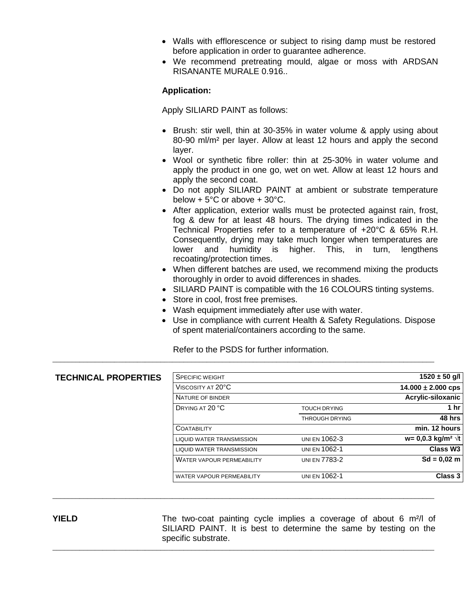- Walls with efflorescence or subject to rising damp must be restored before application in order to guarantee adherence.
- We recommend pretreating mould, algae or moss with ARDSAN RISANANTE MURALE 0.916..

## **Application:**

Apply SILIARD PAINT as follows:

- Brush: stir well, thin at 30-35% in water volume & apply using about 80-90 ml/m² per layer. Allow at least 12 hours and apply the second layer.
- Wool or synthetic fibre roller: thin at 25-30% in water volume and apply the product in one go, wet on wet. Allow at least 12 hours and apply the second coat.
- Do not apply SILIARD PAINT at ambient or substrate temperature below  $+5^{\circ}$ C or above  $+30^{\circ}$ C.
- After application, exterior walls must be protected against rain, frost, fog & dew for at least 48 hours. The drying times indicated in the Technical Properties refer to a temperature of +20°C & 65% R.H. Consequently, drying may take much longer when temperatures are lower and humidity is higher. This, in turn, lengthens recoating/protection times.
- When different batches are used, we recommend mixing the products thoroughly in order to avoid differences in shades.
- SILIARD PAINT is compatible with the 16 COLOURS tinting systems.
- Store in cool, frost free premises.
- Wash equipment immediately after use with water.
- Use in compliance with current Health & Safety Regulations. Dispose of spent material/containers according to the same.

Refer to the PSDS for further information.

\_\_\_\_\_\_\_\_\_\_\_\_\_\_\_\_\_\_\_\_\_\_\_\_\_\_\_\_\_\_\_\_\_\_\_\_\_\_\_\_\_\_\_\_\_\_\_\_\_\_\_\_\_\_\_\_\_\_\_\_\_\_\_\_\_\_\_\_\_\_\_\_\_\_\_\_\_\_\_\_\_\_\_\_\_\_\_\_\_\_\_\_\_\_\_\_\_\_\_

\_\_\_\_\_\_\_\_\_\_\_\_\_\_\_\_\_\_\_\_\_\_\_\_\_\_\_\_\_\_\_\_\_\_\_\_\_\_\_\_\_\_\_\_\_\_\_\_\_\_\_\_\_\_\_\_\_\_\_\_\_\_\_\_\_\_\_\_\_\_\_\_\_\_\_\_\_\_\_\_\_\_\_\_\_\_\_\_\_\_\_\_\_\_\_\_\_\_\_

\_\_\_\_\_\_\_\_\_\_\_\_\_\_\_\_\_\_\_\_\_\_\_\_\_\_\_\_\_\_\_\_\_\_\_\_\_\_\_\_\_\_\_\_\_\_\_\_\_\_\_\_\_\_\_\_\_\_\_\_\_\_\_\_\_\_\_\_\_\_\_\_\_\_\_\_\_\_\_\_\_\_\_\_\_\_\_\_\_\_\_\_\_\_\_\_\_\_\_

| <b>TECHNICAL PROPERTIES</b> | <b>SPECIFIC WEIGHT</b>           |                       | $1520 \pm 50$ g/l                        |
|-----------------------------|----------------------------------|-----------------------|------------------------------------------|
|                             | VISCOSITY AT 20°C                |                       | $14.000 \pm 2.000$ cps                   |
|                             | NATURE OF BINDER                 |                       | Acrylic-siloxanic                        |
|                             | DRYING AT 20 °C                  | <b>TOUCH DRYING</b>   | 1 $hr$                                   |
|                             |                                  | <b>THROUGH DRYING</b> | 48 hrs                                   |
|                             | COATABILITY                      |                       | min. 12 hours                            |
|                             | <b>LIQUID WATER TRANSMISSION</b> | UNI EN 1062-3         | $w = 0,0.3$ kg/m <sup>2</sup> $\sqrt{t}$ |
|                             | <b>LIQUID WATER TRANSMISSION</b> | UNI EN 1062-1         | Class W <sub>3</sub>                     |
|                             | <b>WATER VAPOUR PERMEABILITY</b> | UNI EN 7783-2         | $Sd = 0.02$ m                            |
|                             | WATER VAPOUR PERMEABILITY        | UNI EN 1062-1         | Class 3                                  |

**YIELD** The two-coat painting cycle implies a coverage of about 6 m<sup>2</sup>/l of SILIARD PAINT. It is best to determine the same by testing on the specific substrate.